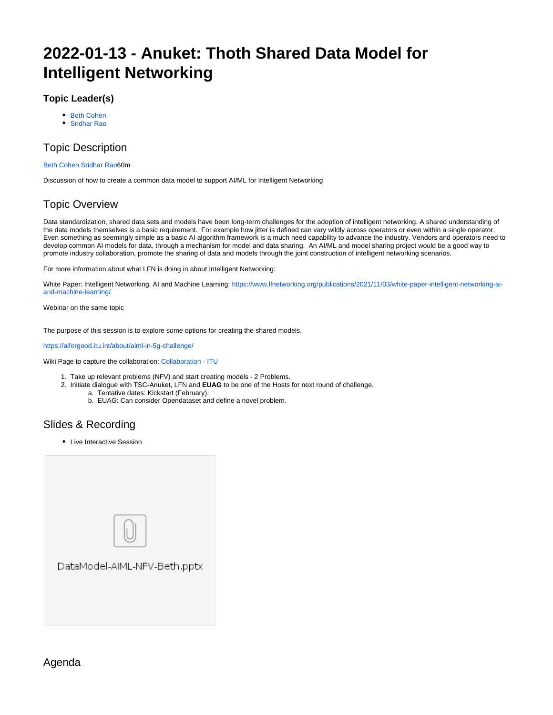# **2022-01-13 - Anuket: Thoth Shared Data Model for Intelligent Networking**

#### **Topic Leader(s)**

- Reth Cohen
- [Sridhar Rao](https://wiki.lfnetworking.org/display/~sridharkn)

### Topic Description

[Beth Cohen](https://wiki.lfnetworking.org/display/~bfcohen) [Sridhar Rao6](https://wiki.lfnetworking.org/display/~sridharkn)0m

Discussion of how to create a common data model to support AI/ML for Intelligent Networking

# Topic Overview

Data standardization, shared data sets and models have been long-term challenges for the adoption of intelligent networking. A shared understanding of the data models themselves is a basic requirement. For example how jitter is defined can vary wildly across operators or even within a single operator. Even something as seemingly simple as a basic AI algorithm framework is a much need capability to advance the industry. Vendors and operators need to develop common AI models for data, through a mechanism for model and data sharing. An AI/ML and model sharing project would be a good way to promote industry collaboration, promote the sharing of data and models through the joint construction of intelligent networking scenarios.

For more information about what LFN is doing in about Intelligent Networking:

White Paper: Intelligent Networking, AI and Machine Learning: [https://www.lfnetworking.org/publications/2021/11/03/white-paper-intelligent-networking-ai](https://www.lfnetworking.org/publications/2021/11/03/white-paper-intelligent-networking-ai-and-machine-learning/)[and-machine-learning/](https://www.lfnetworking.org/publications/2021/11/03/white-paper-intelligent-networking-ai-and-machine-learning/)

Webinar on the same topic

The purpose of this session is to explore some options for creating the shared models.

[https://aiforgood.itu.int/about/aiml-in-5g-challenge/](https://urldefense.com/v3/__https:/aiforgood.itu.int/about/aiml-in-5g-challenge/__;!!FxRPhOnl!rt3iC07JXScXXiIpCO-TJPclh6gh6lBA5SmHdEtrf6npYRnf-HsDkfZdBqUzgEZV$)

Wiki Page to capture the collaboration: [Collaboration - ITU](https://wiki.anuket.io/display/HOME/Collaboration+-+ITU)

- 1. Take up relevant problems (NFV) and start creating models 2 Problems.
- 2. Initiate dialogue with TSC-Anuket, LFN and **EUAG** to be one of the Hosts for next round of challenge.
	- a. Tentative dates: Kickstart (February).
	- b. EUAG: Can consider Opendataset and define a novel problem.

## Slides & Recording

Live Interactive Session



#### Agenda